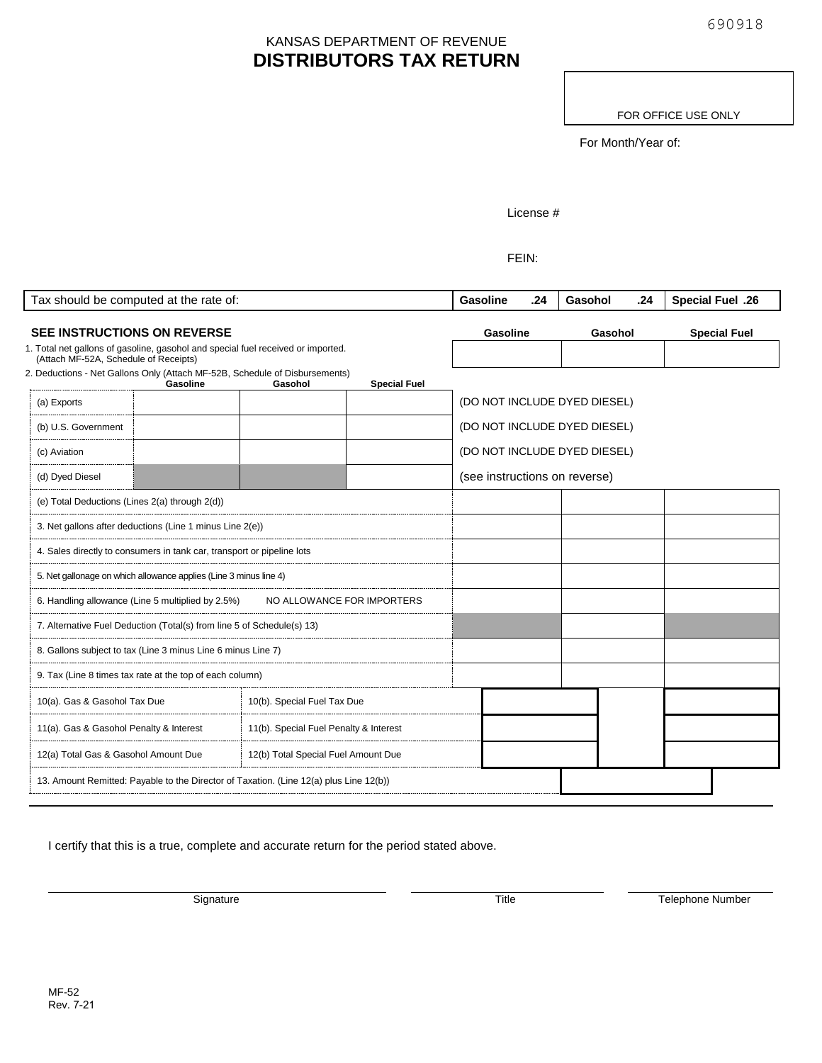## KANSAS DEPARTMENT OF REVENUE **DISTRIBUTORS TAX RETURN**

FOR OFFICE USE ONLY

For Month/Year of:

License #

FEIN:

| Tax should be computed at the rate of:                                                                                    |                                                                                         |                             |                     | Gasoline                      | .24                          | Gasohol | .24 | <b>Special Fuel .26</b> |
|---------------------------------------------------------------------------------------------------------------------------|-----------------------------------------------------------------------------------------|-----------------------------|---------------------|-------------------------------|------------------------------|---------|-----|-------------------------|
| <b>SEE INSTRUCTIONS ON REVERSE</b>                                                                                        |                                                                                         |                             |                     |                               | <b>Gasoline</b>              | Gasohol |     | <b>Special Fuel</b>     |
| 1. Total net gallons of gasoline, gasohol and special fuel received or imported.<br>(Attach MF-52A, Schedule of Receipts) |                                                                                         |                             |                     |                               |                              |         |     |                         |
|                                                                                                                           | 2. Deductions - Net Gallons Only (Attach MF-52B, Schedule of Disbursements)<br>Gasoline | Gasohol                     | <b>Special Fuel</b> |                               |                              |         |     |                         |
| (a) Exports                                                                                                               |                                                                                         |                             |                     | (DO NOT INCLUDE DYED DIESEL)  |                              |         |     |                         |
| (b) U.S. Government                                                                                                       |                                                                                         |                             |                     | (DO NOT INCLUDE DYED DIESEL)  |                              |         |     |                         |
| (c) Aviation                                                                                                              |                                                                                         |                             |                     |                               | (DO NOT INCLUDE DYED DIESEL) |         |     |                         |
| (d) Dyed Diesel                                                                                                           |                                                                                         |                             |                     | (see instructions on reverse) |                              |         |     |                         |
| (e) Total Deductions (Lines 2(a) through 2(d))                                                                            |                                                                                         |                             |                     |                               |                              |         |     |                         |
| 3. Net gallons after deductions (Line 1 minus Line 2(e))                                                                  |                                                                                         |                             |                     |                               |                              |         |     |                         |
| 4. Sales directly to consumers in tank car, transport or pipeline lots                                                    |                                                                                         |                             |                     |                               |                              |         |     |                         |
| 5. Net gallonage on which allowance applies (Line 3 minus line 4)                                                         |                                                                                         |                             |                     |                               |                              |         |     |                         |
| 6. Handling allowance (Line 5 multiplied by 2.5%)<br>NO ALLOWANCE FOR IMPORTERS                                           |                                                                                         |                             |                     |                               |                              |         |     |                         |
| 7. Alternative Fuel Deduction (Total(s) from line 5 of Schedule(s) 13)                                                    |                                                                                         |                             |                     |                               |                              |         |     |                         |
| 8. Gallons subject to tax (Line 3 minus Line 6 minus Line 7)                                                              |                                                                                         |                             |                     |                               |                              |         |     |                         |
| 9. Tax (Line 8 times tax rate at the top of each column)                                                                  |                                                                                         |                             |                     |                               |                              |         |     |                         |
| 10(a). Gas & Gasohol Tax Due                                                                                              |                                                                                         | 10(b). Special Fuel Tax Due |                     |                               |                              |         |     |                         |
| 11(a). Gas & Gasohol Penalty & Interest<br>11(b). Special Fuel Penalty & Interest                                         |                                                                                         |                             |                     |                               |                              |         |     |                         |
| 12(a) Total Gas & Gasohol Amount Due<br>12(b) Total Special Fuel Amount Due                                               |                                                                                         |                             |                     |                               |                              |         |     |                         |
| 13. Amount Remitted: Payable to the Director of Taxation. (Line 12(a) plus Line 12(b))                                    |                                                                                         |                             |                     |                               |                              |         |     |                         |

I certify that this is a true, complete and accurate return for the period stated above.

Signature Title Title Telephone Number